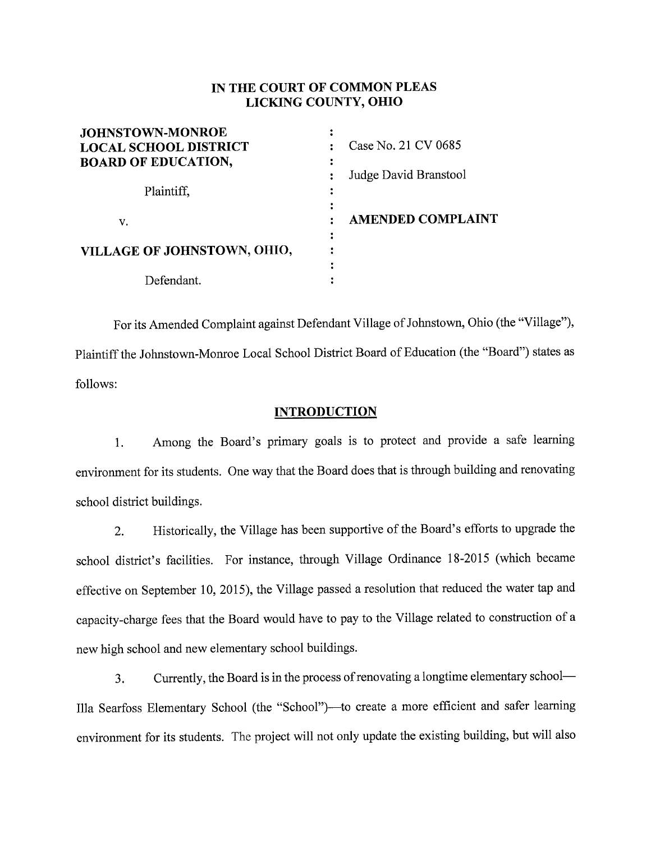# IN THE COURT OF COMMON PLEAS LICKING COUNTY, OHIO

| <b>JOHNSTOWN-MONROE</b>      |                          |
|------------------------------|--------------------------|
| <b>LOCAL SCHOOL DISTRICT</b> | Case No. 21 CV 0685      |
| <b>BOARD OF EDUCATION,</b>   |                          |
|                              | Judge David Branstool    |
| Plaintiff,                   |                          |
|                              |                          |
| v.                           | <b>AMENDED COMPLAINT</b> |
|                              |                          |
| VILLAGE OF JOHNSTOWN, OHIO,  |                          |
|                              |                          |
| Defendant.                   |                          |

For its Amended Complaint against Defendant Village of Johnstown, Ohio (the "Village"), Plaintiff the Johnstown-Monroe Local School District Board of Education (the "Board") states as follows:

## **INTRODUCTION**

1. Among the Board's primary goals is to protect and provide a safe learning environment for its students. One way that the Board does that is through building and renovating school district buildings.

2. Historically, the Village has been supportive of the Board's efforts to upgrade the school district's facilities. For instance, through Village Ordinance 18-2015 (which became effective on September 10, 2015), the Village passed a resolution that reduced the water tap and capacity-charge fees that the Board would have to pay to the Village related to construction of <sup>a</sup> new high school and new elementary school buildings.

3. Currently, the Board is in the process of renovating a longtime elementary school— Illa Searfoss Elementary School (the "School")—to create a more efficient and safer learning environment for its students. The project will not only update the existing building, but will also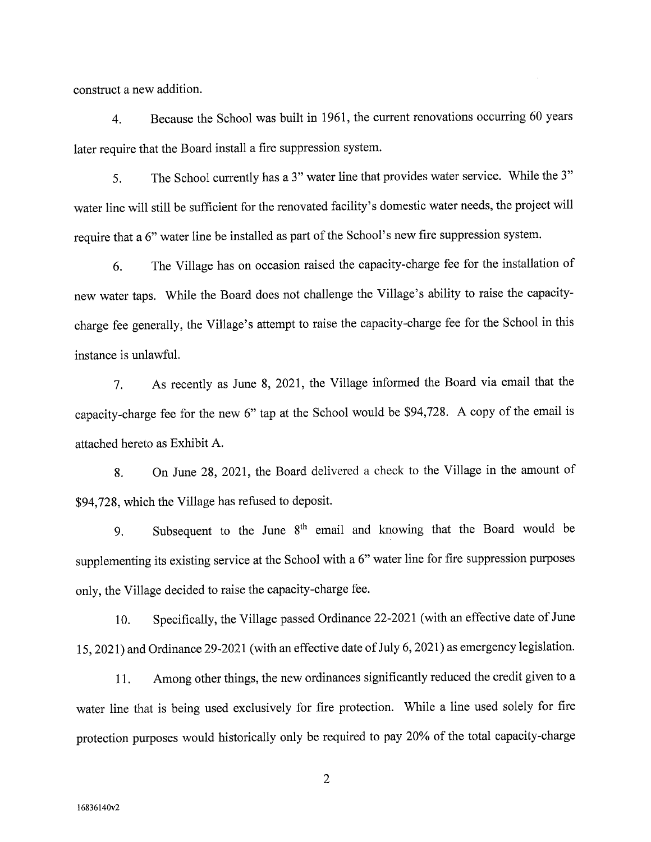construct a new addition.

4. Because the School was built in 1961, the current renovations occurring 60 years later require that the Board install a fire suppression system.

5. The School currently has a 3" water line that provides water service. While the 3" water line will still be sufficient for the renovated facility's domestic water needs, the project will require that a 6" water line be installed as part of the School's new fire suppression system.

6. The Village has on occasion raised the capacity-charge fee for the installation of new water taps. While the Board does not challenge the Village's ability to raise the capacitycharge fee generally, the Village's attempt to raise the capacity-charge fee for the School in this instance is unlawful.

7. As recently as June 8, 2021, the Village informed the Board via email that the capacity-charge fee for the new 6" tap at the School would be \$94,728. A copy of the email is attached hereto as Exhibit A.

8. On June 28, 2021, the Board delivered a check to the Village in the amount of \$94,728, which the Village has refused to deposit.

9. Subsequent to the June 8<sup>th</sup> email and knowing that the Board would be supplementing its existing service at the School with a 6" water line for fire suppression purposes only, the Village decided to raise the capacity-charge fee.

10. Specifically, the Village passed Ordinance 22-2021 (with an effective date of June 15, 2021) and Ordinance 29-2021 (with an effective date of July 6, 2021) as emergency legislation.

11. Among other things, the new ordinances significantly reduced the credit given to <sup>a</sup> water line that is being used exclusively for fire protection. While a line used solely for fire protection purposes would historically only be required to pay 20% of the total capacity-charge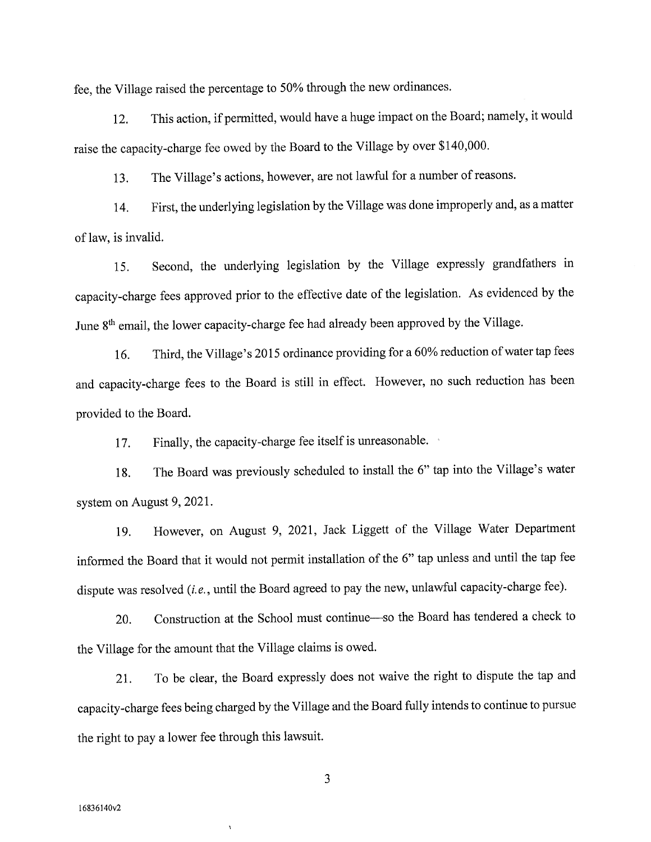fee, the Village raised the percentage to 50% through the new ordinances.

12. This action, if permitted, would have a huge impact on the Board; namely, it would raise the capacity-charge fee owed by the Board to the Village by over \$140,000.

13. The Village's actions, however, are not lawful for a number of reasons.

14. First, the underlying legislation by the Village was done improperly and, as a matter of law, is invalid.

15. Second, the underlying legislation by the Village expressly grandfathers in capacity-charge fees approved prior to the effective date of the legislation. As evidenced by the June 8<sup>th</sup> email, the lower capacity-charge fee had already been approved by the Village.

16. Third, the Village's 2015 ordinance providing for a 60% reduction of water tap fees and capacity-charge fees to the Board is still in effect. However, no such reduction has been provided to the Board.

17. Finally, the capacity-charge fee itself is unreasonable.

18. The Board was previously scheduled to install the 6" tap into the Village's water system on August 9, 2021.

19. However, on August 9, 2021, Jack Liggett of the Village Water Department informed the Board that it would not permit installation of the 6" tap unless and until the tap fee dispute was resolved (i.e., until the Board agreed to pay the new, unlawful capacity-charge fee).

20. Construction at the School must continue—so the Board has tendered a check to the Village for the amount that the Village claims is owed.

21. To be clear, the Board expressly does not waive the right to dispute the tap and capacity-charge fees being charged by the Village and the Board fully intends to continue to pursue the right to pay <sup>a</sup>lower fee through this lawsuit.

3

 $\boldsymbol{\lambda}$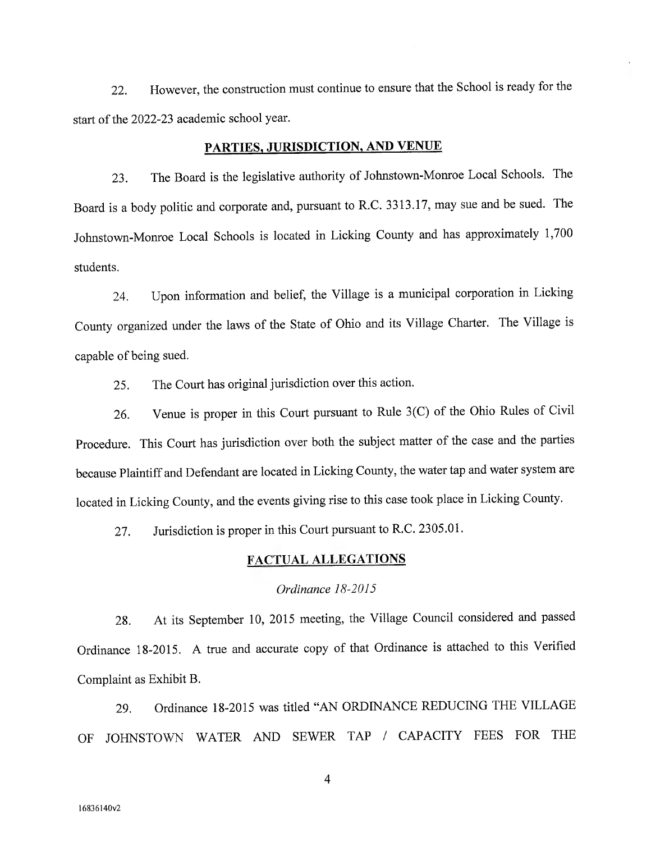22. However, the construction must continue to ensure that the School is ready for the start of the 2022-23 academic school year.

# PARTIES, JURISDICTION, AND VENUE

23. The Board is the legislative authority of Johnstown-Monroe Local Schools. The Board is a body politic and corporate and, pursuant to R.C. 3313.17, may sue and be sued. The Johnstown-Monroe Local Schools is located in Licking County and has approximately 1,700 students.

24. Upon information and belief, the Village is a municipal corporation in Licking County organized under the laws of the State of Ohio and its Village Charter. The Village is capable of being sued.

25. The Court has original jurisdiction over this action.

26. Venue is proper in this Court pursuant to Rule 3(C) of the Ohio Rules of Civil Procedure. This Court has jurisdiction over both the subject matter of the case and the parties because Plaintiff and Defendant are located in Licking County, the water tap and water system are located in Licking County, and the events giving rise to this case took place in Licking County.

27. Jurisdiction is proper in this Court pursuant to R.C. 2305.01.

### FACTUAL ALLEGATIONS

### Ordinance 18-2015

28. At its September 10, 2015 meeting, the Village Council considered and passe<sup>d</sup> Ordinance 18-2015. A true and accurate copy of that Ordinance is attached to this Verified Complaint as Exhibit B.

29. Ordinance 18-2015 was titled "AN ORDINANCE REDUCING THE VILLAGE OF JOHNSTOWN WATER AND SEWER TAP / CAPACITY FEES FOR THE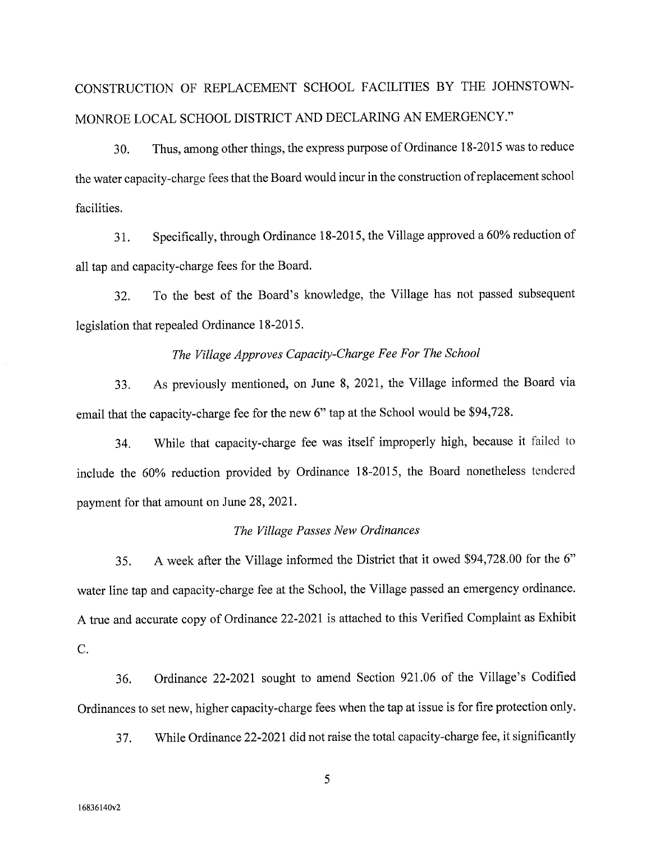# CONSTRUCTION OF REPLACEMENT SCHOOL FACILITIES BY THE JOHNSTOWN-MONROE LOCAL SCHOOL DISTRICT AND DECLARING AN EMERGENCY."

30. Thus, among other things, the express purpose of Ordinance 18-2015 was to reduce the water capacity-charge fees that the Board would incur in the construction of replacement school facilities.

31. Specifically, through Ordinance 18-2015, the Village approved a 60% reduction of all tap and capacity-charge fees for the Board.

32. To the best of the Board's knowledge, the Village has not passed subsequent legislation that repealed Ordinance 18-2015.

# The Village Approves Capacity-Charge Fee For The School

33. As previously mentioned, on June 8, 2021, the Village informed the Board via email that the capacity-charge fee for the new 6" tap at the School would be \$94,728.

34. While that capacity-charge fee was itself improperly high, because it failed to include the 60% reduction provided by Ordinance 18-2015, the Board nonetheless tendered payment for that amount on June 28, 2021.

#### The Village Passes New Ordinances

35. A week after the Village informed the District that it owed \$94,728.00 for the 6" water line tap and capacity-charge fee at the School, the Village passed an emergency ordinance. <sup>A</sup>true and accurate copy of Ordinance 22-2021 is attached to this Verified Complaint as Exhibit C.

36. Ordinance 22-2021 sought to amend Section 921.06 of the Village's Codified Ordinances to set new, higher capacity-charge fees when the tap at issue is for fire protection only.

37. While Ordinance 22-2021 did not raise the total capacity-charge fee, it significantly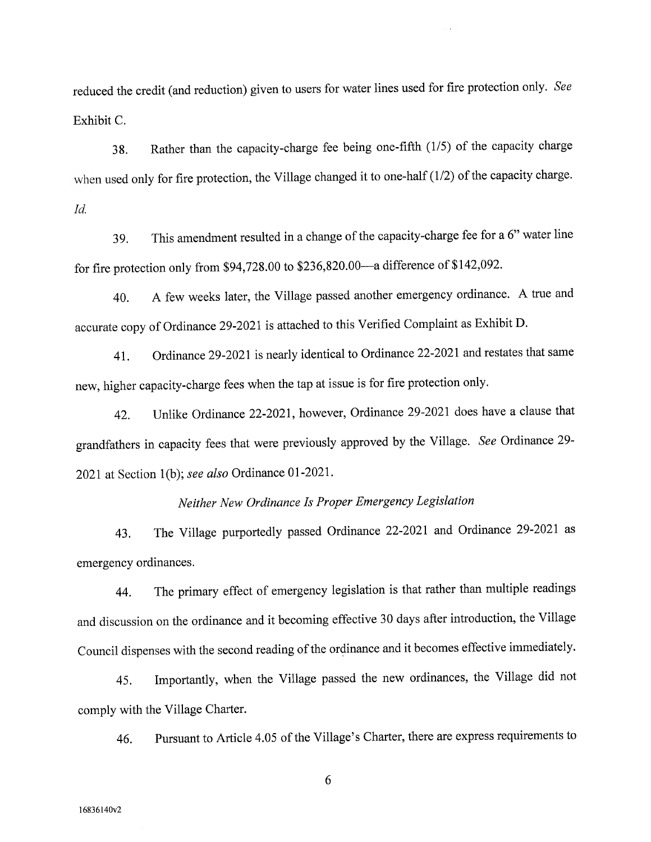reduced the credit (and reduction) given to users for water lines used for fire protection only. See Exhibit C.

38. Rather than the capacity-charge fee being one-fifth (1/5) of the capacity charge when used only for fire protection, the Village changed it to one-half (1/2) of the capacity charge. Id.

39. This amendment resulted in a change of the capacity-charge fee for a 6" water line for fire protection only from \$94,728.00 to \$236,820.00—a difference of \$142,092.

40. A few weeks later, the Village passed another emergency ordinance. A true and accurate copy of Ordinance 29-2021 is attached to this Verified Complaint as Exhibit D.

41. Ordinance 29-2021 is nearly identical to Ordinance 22-2021 and restates that same new, higher capacity-charge fees when the tap at issue is for fire protection only.

42. Unlike Ordinance 22-2021, however, Ordinance 29-2021 does have a clause that grandfathers in capacity fees that were previously approved by the Village. See Ordinance 29- 2021 at Section 1(b); see also Ordinance 01-2021.

# Neither New Ordinance Is Proper Emergency Legislation

43. The Village purportedly passed Ordinance 22-2021 and Ordinance 29-2021 as emergency ordinances.

44. The primary effect of emergency legislation is that rather than multiple readings and discussion on the ordinance and it becoming effective 30 days after introduction, the Village Council dispenses with the second reading of the ordinance and it becomes effective immediately.

45. Importantly, when the Village passed the new ordinances, the Village did not comply with the Village Charter.

46. Pursuant to Article 4.05 of the Village's Charter, there are express requirements to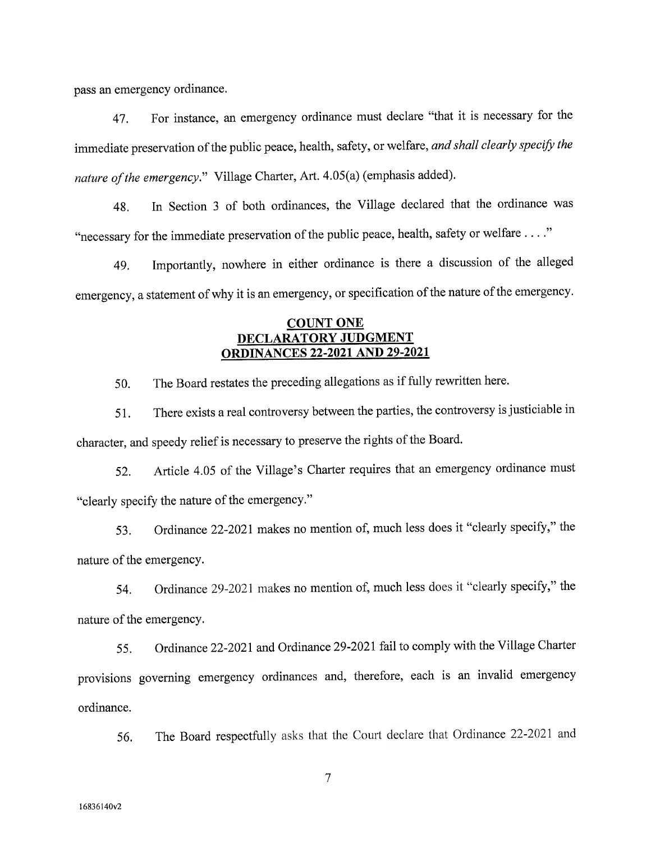pass an emergency ordinance.

47. For instance, an emergency ordinance must declare "that it is necessary for the immediate preservation of the public peace, health, safety, or welfare, and shall clearly specify the nature of the emergency." Village Charter, Art. 4.05(a) (emphasis added).

48. In Section 3 of both ordinances, the Village declared that the ordinance was "necessary for the immediate preservation of the public peace, health, safety or welfare . . . ."

49. Importantly, nowhere in either ordinance is there a discussion of the alleged emergency, a statement of why it is an emergency, or specification of the nature of the emergency.

## COUNT ONE DECLARATORY JUDGMENT ORDINANCES 22-2021 AND 29-2021

50. The Board restates the preceding allegations as if fully rewritten here.

51. There exists a real controversy between the parties, the controversy is justiciable in character, and speedy relief is necessary to preserve the rights of the Board.

52. Article 4.05 of the Village's Charter requires that an emergency ordinance must "clearly specify the nature of the emergency."

53. Ordinance 22-2021 makes no mention of, much less does it "clearly specify," the nature of the emergency.

54. Ordinance 29-2021 makes no mention of, much less does it "clearly specify," the nature of the emergency.

55. Ordinance 22-2021 and Ordinance 29-2021 fail to comply with the Village Charter provisions governing emergency ordinances and, therefore, each is an invalid emergency ordinance.

56. The Board respectfully asks that the Court declare that Ordinance 22-2021 and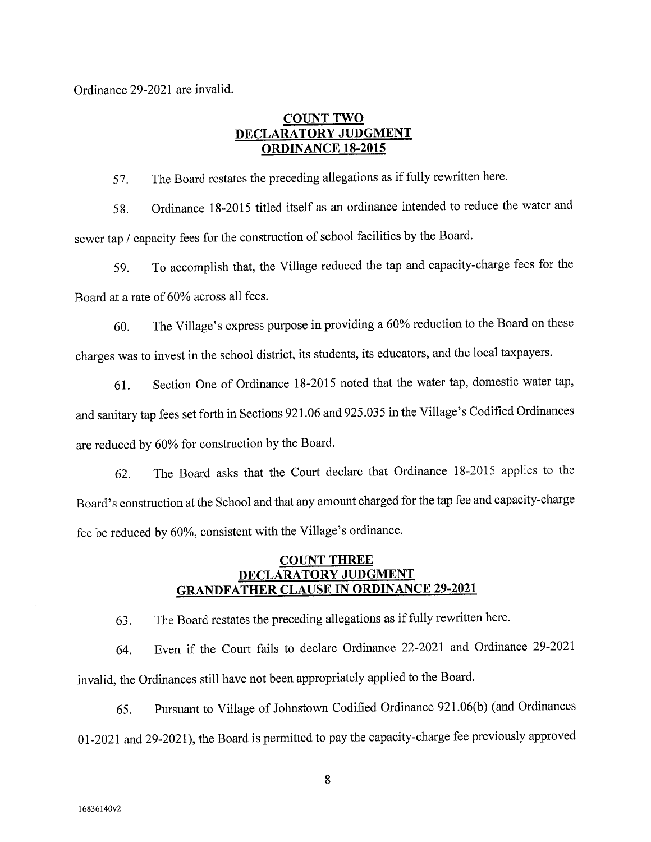Ordinance 29-2021 are invalid.

# COUNT TWO DECLARATORY JUDGMENT ORDINANCE 18-2015

57. The Board restates the preceding allegations as if fully rewritten here.

58. Ordinance 18-2015 titled itself as an ordinance intended to reduce the water and sewer tap / capacity fees for the construction of school facilities by the Board.

59. To accomplish that, the Village reduced the tap and capacity-charge fees for the Board at a rate of 60% across all fees.

60. The Village's express purpose in providing a 60% reduction to the Board on these charges was to invest in the school district, its students, its educators, and the local taxpayers.

61. Section One of Ordinance 18-2015 noted that the water tap, domestic water tap, and sanitary tap fees set forth in Sections 921.06 and 925.035 in the Village's Codified Ordinances are reduced by 60% for construction by the Board.

62. The Board asks that the Court declare that Ordinance 18-2015 applies to the Board's construction at the School and that any amount charged for the tap fee and capacity-charge fee be reduced by 60%, consistent with the Village's ordinance.

# COUNT THREE DECLARATORY JUDGMENT GRANDFATHER CLAUSE IN ORDINANCE 29-2021

63. The Board restates the preceding allegations as if fully rewritten here.

64. Even if the Court fails to declare Ordinance 22-2021 and Ordinance 29-2021 invalid, the Ordinances still have not been appropriately applied to the Board.

65. Pursuant to Village of Johnstown Codified Ordinance 921.06(b) (and Ordinances 01-2021 and 29-2021), the Board is permitted to pay the capacity-charge fee previously approve<sup>d</sup>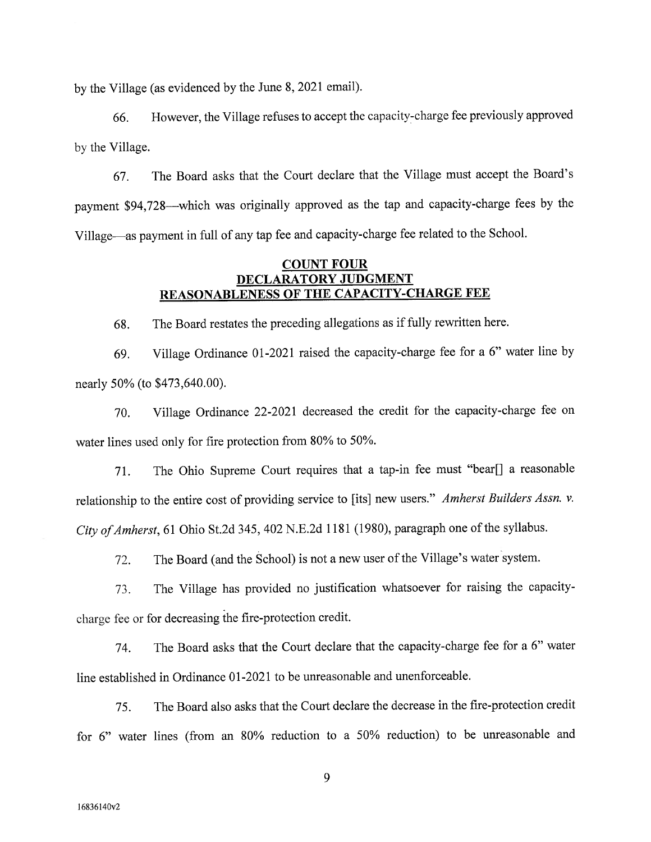by the Village (as evidenced by the June 8, 2021 email).

66. However, the Village refuses to accept the capacity-charge fee previously approve<sup>d</sup> by the Village.

67. The Board asks that the Court declare that the Village must accept the Board's payment \$94,728—which was originally approved as the tap and capacity-charge fees by the Village—as payment in full of any tap fee and capacity-charge fee related to the School.

# COUNT FOUR DECLARATORY JUDGMENT REASONABLENESS OF THE CAPACITY-CHARGE FEE

68. The Board restates the preceding allegations as if fully rewritten here.

69. Village Ordinance 01-2021 raised the capacity-charge fee for a 6" water line by nearly 50% (to \$473,640.00).

70. Village Ordinance 22-2021 decreased the credit for the capacity-charge fee on water lines used only for fire protection from 80% to 50%.

71. The Ohio Supreme Court requires that a tap-in fee must "bear[] a reasonable relationship to the entire cost of providing service to [its] new users." Amherst Builders Assn. v. City of Amherst, 61 Ohio St.2d 345, 402 N.E.2d 1181 (1980), paragraph one of the syllabus.

72. The Board (and the School) is not a new user of the Village's water system.

73. The Village has provided no justification whatsoever for raising the capacitycharge fee or for decreasing the fire-protection credit.

74. The Board asks that the Court declare that the capacity-charge fee for a 6" water line established in Ordinance 01-2021 to be unreasonable and unenforceable.

75. The Board also asks that the Court declare the decrease in the fire-protection credit for 6" water lines (from an 80% reduction to a 50% reduction) to be unreasonable and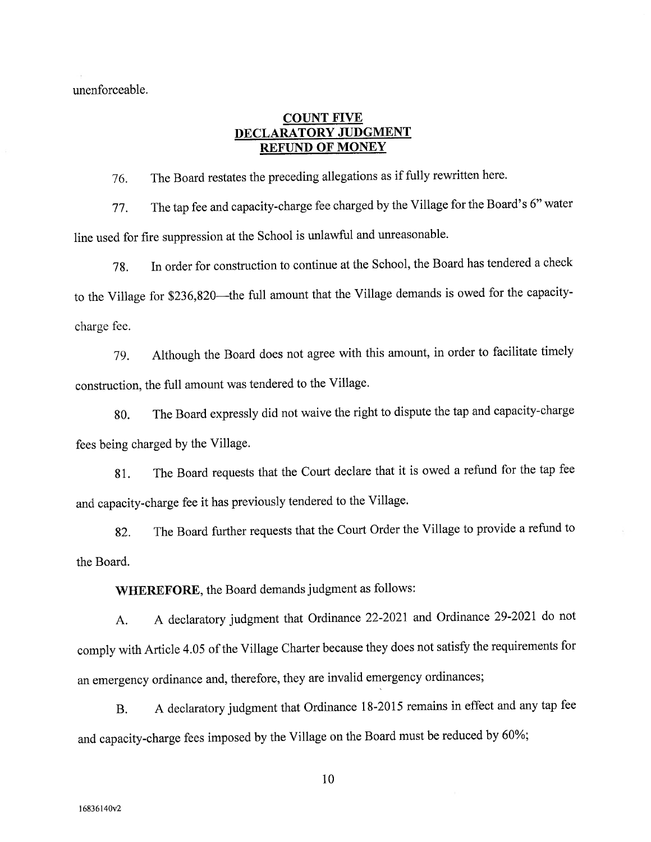unenforceable.

## COUNT FIVE DECLARATORY JUDGMENT REFUND OF MONEY

76. The Board restates the preceding allegations as if fully rewritten here.

77. The tap fee and capacity-charge fee charged by the Village for the Board's 6" water line used for fire suppression at the School is unlawful and unreasonable.

78. In order for construction to continue at the School, the Board has tendered a check to the Village for \$236,820—the full amount that the Village demands is owed for the capacitycharge fee.

79. Although the Board does not agree with this amount, in order to facilitate timely construction, the full amount was tendered to the Village.

80. The Board expressly did not waive the right to dispute the tap and capacity-charge fees being charged by the Village.

81. The Board requests that the Court declare that it is owed a refund for the tap fee and capacity-charge fee it has previously tendered to the Village.

82. The Board further requests that the Court Order the Village to provide a refund to the Board.

WHEREFORE, the Board demands judgment as follows:

A. A declaratory judgment that Ordinance 22-2021 and Ordinance 29-2021 do not comply with Article 4.05 of the Village Charter because they does not satisfy the requirements for an emergency ordinance and, therefore, they are invalid emergency ordinances;

B. A declaratory judgment that Ordinance 18-2015 remains in effect and any tap fee and capacity-charge fees imposed by the Village on the Board must be reduced by 60%;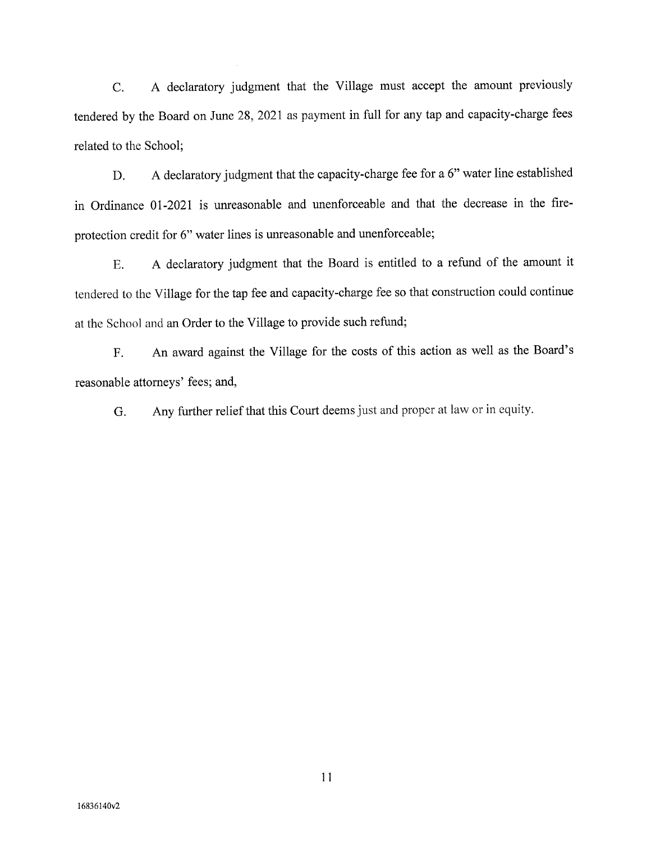C. A declaratory judgment that the Village must accept the amount previously tendered by the Board on June 28, 2021 as payment in full for any tap and capacity-charge fees related to the School;

D. A declaratory judgment that the capacity-charge fee for a 6" water line established in Ordinance 01-2021 is unreasonable and unenforceable and that the decrease in the fireprotection credit for 6" water lines is unreasonable and unenforceable;

E. A declaratory judgment that the Board is entitled to a refund of the amount it tendered to the Village for the tap fee and capacity-charge fee so that construction could continue at the School and an Order to the Village to provide such refund;

F. An award against the Village for the costs of this action as well as the Board's reasonable attorneys' fees; and,

G. Any further relief that this Court deems just and proper at law or in equity.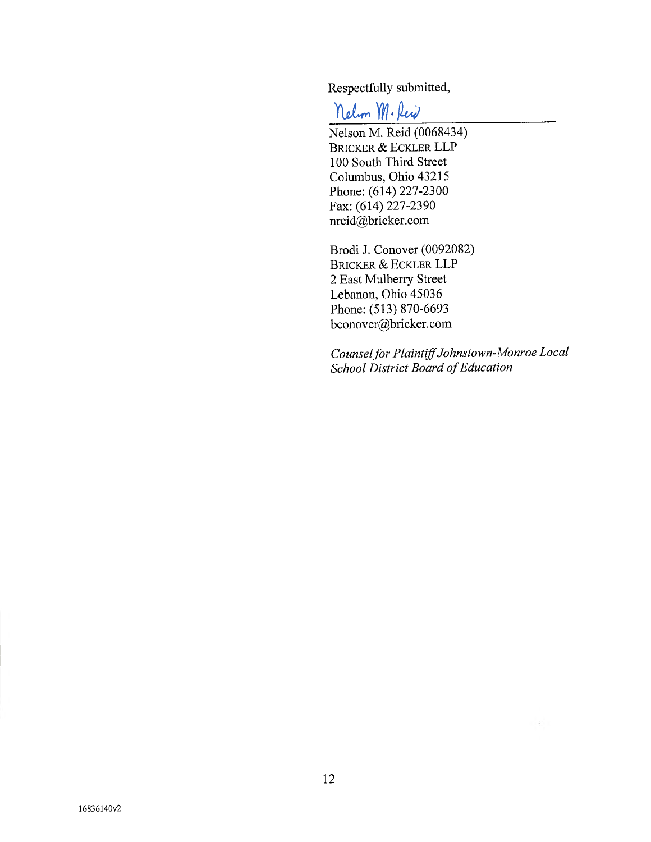Respectfully submitted,

Nelm M. Reid

Nelson M. Reid (0068434) BRICKER & ECKLER LLP 100 South Third Street Columbus, Ohio 43215 Phone: (614) 227-2300 Fax: (614) 227-2390 nreid@bricker.com

Brodi J. Conover (0092082) BRICKER & ECKLER LLP 2 East Mulberry Street Lebanon, Ohio 45036 Phone: (513) 870-6693 bconover@bricker.com

Counsel for PlaintiffJohnstown-Monroe Local School District Board of Education